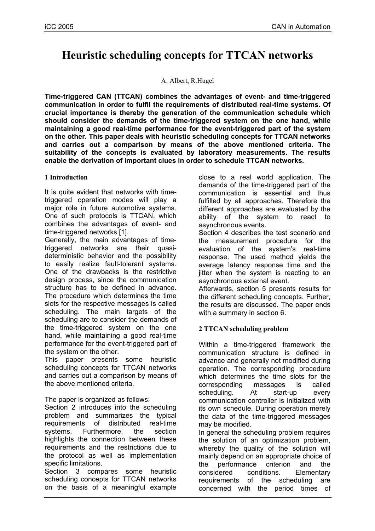# **Heuristic scheduling concepts for TTCAN networks**

#### A. Albert, R.Hugel

**Time-triggered CAN (TTCAN) combines the advantages of event- and time-triggered communication in order to fulfil the requirements of distributed real-time systems. Of crucial importance is thereby the generation of the communication schedule which should consider the demands of the time-triggered system on the one hand, while maintaining a good real-time performance for the event-triggered part of the system on the other. This paper deals with heuristic scheduling concepts for TTCAN networks and carries out a comparison by means of the above mentioned criteria. The suitability of the concepts is evaluated by laboratory measurements. The results enable the derivation of important clues in order to schedule TTCAN networks.** 

### **1 Introduction**

It is quite evident that networks with timetriggered operation modes will play a major role in future automotive systems. One of such protocols is TTCAN, which combines the advantages of event- and time-triggered networks [1].

Generally, the main advantages of timetriggered networks are their quasideterministic behavior and the possibility to easily realize fault-tolerant systems. One of the drawbacks is the restrictive design process, since the communication structure has to be defined in advance. The procedure which determines the time slots for the respective messages is called scheduling. The main targets of the scheduling are to consider the demands of the time-triggered system on the one hand, while maintaining a good real-time performance for the event-triggered part of the system on the other.

This paper presents some heuristic scheduling concepts for TTCAN networks and carries out a comparison by means of the above mentioned criteria.

The paper is organized as follows:

Section 2 introduces into the scheduling problem and summarizes the typical requirements of distributed real-time systems. Furthermore, the section highlights the connection between these requirements and the restrictions due to the protocol as well as implementation specific limitations.

Section 3 compares some heuristic scheduling concepts for TTCAN networks on the basis of a meaningful example close to a real world application. The demands of the time-triggered part of the communication is essential and thus fulfilled by all approaches. Therefore the different approaches are evaluated by the ability of the system to react to asynchronous events.

Section 4 describes the test scenario and the measurement procedure for the evaluation of the system's real-time response. The used method yields the average latency response time and the jitter when the system is reacting to an asynchronous external event.

Afterwards, section 5 presents results for the different scheduling concepts. Further, the results are discussed. The paper ends with a summary in section 6.

## **2 TTCAN scheduling problem**

Within a time-triggered framework the communication structure is defined in advance and generally not modified during operation. The corresponding procedure which determines the time slots for the corresponding messages is called scheduling. At start-up every communication controller is initialized with its own schedule. During operation merely the data of the time-triggered messages may be modified.

In general the scheduling problem requires the solution of an optimization problem, whereby the quality of the solution will mainly depend on an appropriate choice of the performance criterion and the considered conditions. Elementary requirements of the scheduling are concerned with the period times of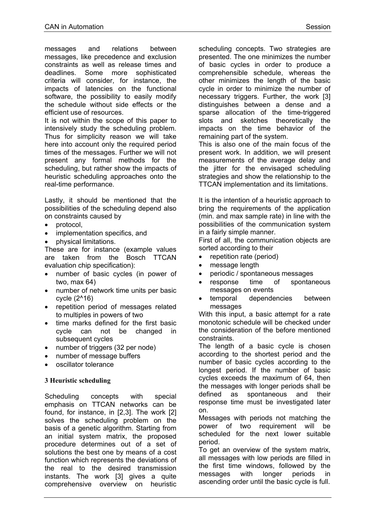messages and relations between messages, like precedence and exclusion constraints as well as release times and deadlines. Some more sophisticated criteria will consider, for instance, the impacts of latencies on the functional software, the possibility to easily modify the schedule without side effects or the efficient use of resources.

It is not within the scope of this paper to intensively study the scheduling problem. Thus for simplicity reason we will take here into account only the required period times of the messages. Further we will not present any formal methods for the scheduling, but rather show the impacts of heuristic scheduling approaches onto the real-time performance.

Lastly, it should be mentioned that the possibilities of the scheduling depend also on constraints caused by

- protocol,
- implementation specifics, and
- physical limitations.

These are for instance (example values are taken from the Bosch TTCAN evaluation chip specification):

- number of basic cycles (in power of two, max 64)
- number of network time units per basic cycle (2^16)
- repetition period of messages related to multiples in powers of two
- time marks defined for the first basic cycle can not be changed in subsequent cycles
- number of triggers (32 per node)
- number of message buffers
- oscillator tolerance

#### **3 Heuristic scheduling**

Scheduling concepts with special emphasis on TTCAN networks can be found, for instance, in [2,3]. The work [2] solves the scheduling problem on the basis of a genetic algorithm. Starting from an initial system matrix, the proposed procedure determines out of a set of solutions the best one by means of a cost function which represents the deviations of the real to the desired transmission instants. The work [3] gives a quite comprehensive overview on heuristic

scheduling concepts. Two strategies are presented. The one minimizes the number of basic cycles in order to produce a comprehensible schedule, whereas the other minimizes the length of the basic cycle in order to minimize the number of necessary triggers. Further, the work [3] distinguishes between a dense and a sparse allocation of the time-triggered slots and sketches theoretically the impacts on the time behavior of the remaining part of the system.

This is also one of the main focus of the present work. In addition, we will present measurements of the average delay and the jitter for the envisaged scheduling strategies and show the relationship to the TTCAN implementation and its limitations.

It is the intention of a heuristic approach to bring the requirements of the application (min. and max sample rate) in line with the possibilities of the communication system in a fairly simple manner.

First of all, the communication objects are sorted according to their

- repetition rate (period)
- message length
- periodic / spontaneous messages
- response time of spontaneous messages on events
- temporal dependencies between messages

With this input, a basic attempt for a rate monotonic schedule will be checked under the consideration of the before mentioned constraints.

The length of a basic cycle is chosen according to the shortest period and the number of basic cycles according to the longest period. If the number of basic cycles exceeds the maximum of 64, then the messages with longer periods shall be defined as spontaneous and their response time must be investigated later on.

Messages with periods not matching the power of two requirement will be scheduled for the next lower suitable period.

To get an overview of the system matrix, all messages with low periods are filled in the first time windows, followed by the messages with longer periods in ascending order until the basic cycle is full.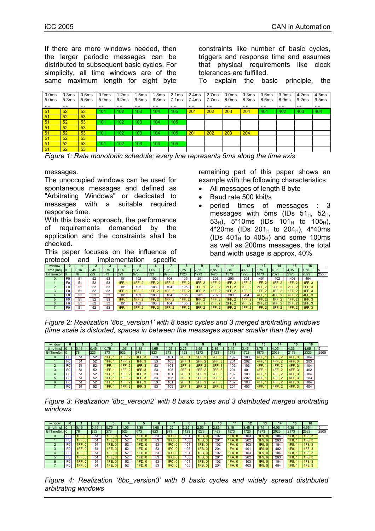If there are more windows needed, then the larger periodic messages can be distributed to subsequent basic cycles. For simplicity, all time windows are of the same maximum length for eight byte constraints like number of basic cycles, triggers and response time and assumes that physical requirements like clock tolerances are fulfilled.

To explain the basic principle, the

| 0.0 <sub>ms</sub><br>5.0ms<br>.                               | 0.3ms<br>5.3ms<br>. | 0.6 <sub>ms</sub><br>5.6ms<br>. | 0.9 <sub>ms</sub><br>15.9 <sub>ms</sub><br>$\cdots$ | 1.2ms<br>6.2ms<br>. | .5ms<br>6.5ms<br>. | 1.8ms<br>6.8ms<br>$\cdots$ | 2.1ms<br>7.1ms<br>. | 2.4ms<br>7.4ms<br>$\cdots$ | 2.7 <sub>ms</sub><br>7.7ms<br>. | 3.0 <sub>ms</sub><br>8.0ms<br>. | 3.3 <sub>ms</sub><br>8.3ms 8.6ms<br>. | 3.6ms<br>. | 3.9ms 4.2ms<br>8.9ms<br>. | $\blacksquare$ 9.2ms<br>. | 4.5ms<br>9.5ms<br>. |
|---------------------------------------------------------------|---------------------|---------------------------------|-----------------------------------------------------|---------------------|--------------------|----------------------------|---------------------|----------------------------|---------------------------------|---------------------------------|---------------------------------------|------------|---------------------------|---------------------------|---------------------|
| $\frac{51}{51}$                                               | 52                  | 53                              | 101                                                 | 102                 | 103                | 104                        | 105                 | 201                        | 202                             | 203                             | 204                                   | 401        | 402                       | 403                       | 404                 |
|                                                               | 52                  | 53                              |                                                     |                     |                    |                            |                     |                            |                                 |                                 |                                       |            |                           |                           |                     |
| 51                                                            | 52                  | 53                              | 101                                                 | 102                 | 103 <sub>1</sub>   | 104                        | 105                 |                            |                                 |                                 |                                       |            |                           |                           |                     |
| 51<br>51<br>51<br>51                                          | 52                  | 53                              |                                                     |                     |                    |                            |                     |                            |                                 |                                 |                                       |            |                           |                           |                     |
|                                                               | 52                  | 53                              | 101                                                 | 102                 | 103 <sub>1</sub>   | 104                        | 105                 | 201                        | 202                             | 203                             | 204                                   |            |                           |                           |                     |
|                                                               | 52                  | 53                              |                                                     |                     |                    |                            |                     |                            |                                 |                                 |                                       |            |                           |                           |                     |
| $\begin{array}{ c c }\n\hline\n51 \\ \hline\n51\n\end{array}$ | 52                  | 53                              | 101                                                 | 102                 | 103 <sub>1</sub>   | 104                        | 105                 |                            |                                 |                                 |                                       |            |                           |                           |                     |
|                                                               | 52                  | 53                              |                                                     |                     |                    |                            |                     |                            |                                 |                                 |                                       |            |                           |                           |                     |

*Figure 1: Rate monotonic schedule; every line represents 5ms along the time axis* 

messages.

The unoccupied windows can be used for spontaneous messages and defined as "Arbitrating Windows" or dedicated to messages with a suitable required response time.

With this basic approach, the performance of requirements demanded by the application and the constraints shall be checked.

This paper focuses on the influence of protocol and implementation specific

remaining part of this paper shows an example with the following characteristics:

- All messages of length 8 byte
- Baud rate 500 kbit/s
- period times of messages : 3 messages with 5ms (IDs  $51<sub>H</sub>$ ,  $52<sub>H</sub>$ , 53<sub>H</sub>), 5\*10ms (IDs 101<sub>H</sub> to 105<sub>H</sub>), 4\*20ms (IDs  $201_H$  to  $204_H$ ), 4\*40ms (IDs  $401_H$  to  $405_H$ ) and some 100ms as well as 200ms messages, the total band width usage is approx. 40%

| -----          |                |           |     | .   | .   |       |        | ------ |                        |              |      |      |      |      |                  |            |         |      |
|----------------|----------------|-----------|-----|-----|-----|-------|--------|--------|------------------------|--------------|------|------|------|------|------------------|------------|---------|------|
| window         |                |           |     |     |     |       |        |        |                        |              |      |      |      |      | 14               | ь          | 16      |      |
| time [ms]      |                |           | 45  |     | .05 | .35   | ,65    | 1.95   | 2,25                   | 2,55         | 2,85 | 3.15 | 3,45 |      | 4.05             | .35        | 4,65    |      |
| BitTime[bit] 0 |                | <b>78</b> | 223 | 373 | 523 | 673   | 823    | 973    | 1123                   | 1273         | 1423 | 1573 | 1723 | 1873 | 2023             | 2173       | 2323    | 2500 |
|                | F0             |           | 52  | 53  | 10  | 102   | 103    | 104    | 105                    | $20^{\circ}$ | 202  | 203  | 204  | 40   | 402              | 403        | 404     |      |
|                | F <sub>0</sub> | 51        | 52  | 53  | 1FF | 1FF.2 | 1FF.2I | 1FF.2  | 1FF.<br>$\overline{2}$ | 1FF.         | 1FF. | 1FF. | 1FF. | 1FF. | 1FF              | 1FF.2      | 1FF.3I  |      |
|                | F0             | 51        | 52  | 53  | 101 | 102   | 103    | 104    | 105                    |              | 2FF  | 2FF. |      |      |                  | 2FF, 2     | 2FF, 3  |      |
|                | F0             | 51        | 52  | 53  |     | 1FF.  | 1FF.   | 1FF.   | 1FF.                   | 1FF          | 1FF. | 1FF. |      |      | 1FF              |            |         |      |
|                | F <sub>0</sub> | 51        | 52  | 53  | 101 | 102   | 103    | 104    | 105                    | 201          | 202  | 203  | 204  | 4FF. | 14FF.21          | 4FF.2      | 4FF.3   |      |
|                | F <sub>0</sub> | 51        | 52  | 53  | 1FF | 1FF.  | 1FF.   | 1FF.   | 1FF.                   | 1FF          | 1FF. | 1FF. | 1FF. |      | 1FF              | 1FF.       | 1FF.3   |      |
|                | F <sub>0</sub> | 51        | 52  | 53  | 101 | 102   | 103    | 104    | 105                    | 2FF.         | 2FF  | 2FF. | 2FF. |      | 2FF<br><b>21</b> | 2FF.2      | 2FF.3   |      |
|                | F <sub>0</sub> | 51        | 52  | 53  | 1FF | 1FF.  | 1FF.2  | 1FF.   | 1FF.                   | 1FF.         | 1FF. | 1FF. | 1FF. | 1FF. | 1FF.             | $1$ 1FF. 2 | 11FF.31 |      |

*Figure 2: Realization '8bc\_version1' with 8 basic cycles and 3 merged arbitrating windows (time scale is distorted, spaces in between the messages appear smaller than they are)* 

| window         |                |         |       |       |                       |                   |      |      |      |      | 10    |       | 12    | 13   | 14                     | 15                   | 16   |      |
|----------------|----------------|---------|-------|-------|-----------------------|-------------------|------|------|------|------|-------|-------|-------|------|------------------------|----------------------|------|------|
| time [ms]      |                | 10.16   | 10.45 | 10.75 | .05                   | .35               | 1.65 | 1.95 | 2,25 | 2,55 | 12.85 | 13.15 | 13.45 | 3.75 | 4.05                   | 14.35                | 4.65 |      |
| BitTime[bit] 0 |                | 78      | 223   | 373   | 523                   | 673               | 823  | 973  | 1123 | 1273 | 1423  | 1573  | 723   | 1873 | 2023                   | 2173                 | 2323 | 2500 |
|                | F <sub>0</sub> | 51      | 52    |       | 1FF<br>$\mathbf{Z}$   |                   | 53   | 101  | 2FF. |      | 2FF   | 102   | 103   | 4FF. | 4FF<br>$\epsilon$      | 4FF.                 | 104  |      |
|                | F <sub>0</sub> |         | 52    |       | 1FF                   |                   | 53   | 105  |      |      |       | 201   | 202   | 4FF. | 4FF                    | 4FF.                 | 203  |      |
|                | F <sub>0</sub> |         | 52    |       | 1FF                   |                   | 53   | 101  |      |      |       | 102   | 103   |      |                        | 4FF.                 | 104  |      |
|                | F <sub>0</sub> | 51      | 52    |       | 1FF<br>$\overline{2}$ |                   | 53   | 105  | 2FF  | 2FF. | 2FF   | 204   | 401   | 4FF. | $\overline{2}$<br>4FF. | $\mathbf{3}$<br>4FF. | 402  |      |
|                | F <sub>0</sub> | 51      | 52    |       | 1FF                   |                   | 53   | 101  |      |      | 2FF   | 102   | 103   | 4FF. | $\overline{2}$<br>4FF. | 4FF.3                | 104  |      |
|                | F <sub>0</sub> | $\cdot$ | 52    |       | 1FF<br>$\overline{2}$ |                   | 53   | 105  |      |      | 2FF   | 201   | 202   | 4FF. | 4FF<br>2               | 4FF.<br>3            | 203  |      |
|                | F <sub>0</sub> | 51      | 52    |       | 1FF                   |                   | 53   | 101  | 2FF  |      | 2FF   | 102   | 103   | 4FF. | $\overline{2}$<br>4FF  | 4FF.                 | 104  |      |
|                | F <sub>0</sub> |         | 52    | 1FF   | 1FF<br>$\overline{2}$ | I <sub>1</sub> FF | 53   | 105  | 2FF. | 2FF. |       | 204   | 403   | 4FF. | 4FF.<br>$\overline{2}$ | 4FF.                 | 404  |      |

*Figure 3: Realization '8bc\_version2' with 8 basic cycles and 3 distributed merged arbitrating windows* 

| window         |                |      |                |      |      |      |      |      |      |             | 10   |                        | 12   | 13                   | 14   | 15          | 16                     |      |
|----------------|----------------|------|----------------|------|------|------|------|------|------|-------------|------|------------------------|------|----------------------|------|-------------|------------------------|------|
| time [ms]      |                | 1.16 | 10.45          |      | 1.05 | 1.35 | 1.65 | i.95 | 2,25 | 2,55        | 2,85 | 13.<br>15              | 3,45 | 3.75                 | 4.05 | 4,35        | 4,65                   | ю    |
| BitTime[bit] 0 |                | 78   | 223            | 373  | 523  | 673  | 823  | 973  | 1123 |             | 1423 | 1573                   | 1723 | 1873                 | 2023 | 2173        | 2323                   | 2500 |
|                | F <sub>0</sub> | 1FF  | 5              | 1FE. | 52   | 1FD. | 53   | IFC. | 101  | <b>1FB.</b> | 102  | 1FA.                   | 103  | 1F9.<br>$\mathbf{0}$ | 104  | 1F8.        | 1F8, 3                 |      |
|                | F <sub>0</sub> | 1FF. | 51             | 1FE. | 52   | 1FD  | 53   | 1FC. | 105  | 1FB.0       | 201  | 1FA.<br>$\overline{0}$ | 202  | 1F9.0                | 203  | <b>1F8.</b> | 1F8, 3                 |      |
|                | F <sub>0</sub> | 1FF. | 51             | 1FE. | 52   | 1FD. | 53   | 1FC. | 101  | 1FB, 0      | 102  | 1FA, 0                 | 103  | 1F9, 0               | 104  | 1F8.        | 1F8, 3'                |      |
|                | F <sub>0</sub> | 1FF. | 5 <sup>1</sup> | 1FE. | 52   | 1FD, | 53   | 1FC. | 105  | 1FB, 0      | 204  | 1FA.01                 | 401  | 1F9.0                | 402  | 1F8.        | 1F8, 3                 |      |
|                | F <sub>0</sub> | 1FF. | -51            | 1FE. | 52   | 1FD. | 53   | 1FC. | 101  | 1FB.01      | 102  | 1FA.0                  | 103  | 1F9.0                | 104  | 1F8.        | 158, 3                 |      |
|                | F <sub>0</sub> | 1FF. | 51             | 1FE. | 52   | 1FD. | 53   | 1FC. | 105  | 1FB.0       | 201  | 1FA.0                  | 202  | 1F9.0                | 203  | 1F8         | 1F8, 3                 |      |
|                | F <sub>0</sub> | 1FF. | 51             | 1FE. | 52   | 1FD. | 53   | IFC. | 101  | 1FB.0       | 102  | 1FA.01                 | 103  | 1F9.0                | 104  | 1F8.        | 1F8, 3                 |      |
|                | F <sub>0</sub> | 1FF. | 51             | 1FE  | 52   | 1FD  | 53   | 1FC. | 105  | 1FB.        | 204  | 1FA.                   | 403  | 1F9.0                | 404  | 1F8.        | 1F8.<br>3 <sup>1</sup> |      |

*Figure 4: Realization '8bc\_version3' with 8 basic cycles and widely spread distributed arbitrating windows*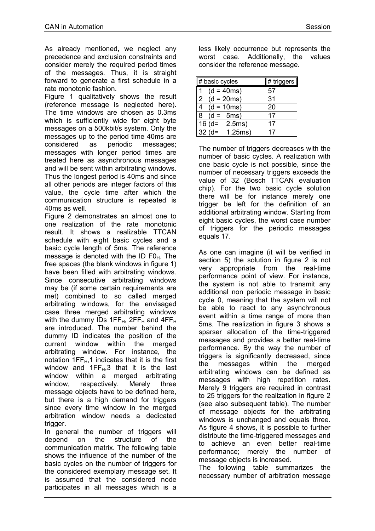As already mentioned, we neglect any precedence and exclusion constraints and consider merely the required period times of the messages. Thus, it is straight forward to generate a first schedule in a rate monotonic fashion.

Figure 1 qualitatively shows the result (reference message is neglected here). The time windows are chosen as 0.3ms which is sufficiently wide for eight byte messages on a 500kbit/s system. Only the messages up to the period time 40ms are considered as periodic messages; messages with longer period times are treated here as asynchronous messages and will be sent within arbitrating windows. Thus the longest period is 40ms and since all other periods are integer factors of this value, the cycle time after which the communication structure is repeated is 40ms as well.

Figure 2 demonstrates an almost one to one realization of the rate monotonic result. It shows a realizable TTCAN schedule with eight basic cycles and a basic cycle length of 5ms. The reference message is denoted with the ID  $F0<sub>H</sub>$ . The free spaces (the blank windows in figure 1) have been filled with arbitrating windows. Since consecutive arbitrating windows may be (if some certain requirements are met) combined to so called merged arbitrating windows, for the envisaged case three merged arbitrating windows with the dummy IDs 1FF $H$ , 2FF $H$  and 4FF $H$ are introduced. The number behind the dummy ID indicates the position of the current window within the merged arbitrating window. For instance, the notation  $1FF_H$ ,1 indicates that it is the first window and  $1FF_H,3$  that it is the last window within a merged arbitrating window. respectively. Merely three message objects have to be defined here, but there is a high demand for triggers since every time window in the merged arbitration window needs a dedicated trigger.

In general the number of triggers will depend on the structure of the communication matrix. The following table shows the influence of the number of the basic cycles on the number of triggers for the considered exemplary message set. It is assumed that the considered node participates in all messages which is a less likely occurrence but represents the worst case. Additionally, the values consider the reference message.

| # basic cycles                 | # triggers $ $ |
|--------------------------------|----------------|
| $(d = 40ms)$                   | 57             |
| $\overline{2}$<br>$(d = 20ms)$ | 31             |
| 4<br>$(d = 10ms)$              | 20             |
| 8<br>$(d = 5ms)$               | 17             |
| 16 $(d=$<br>2.5ms)             | 17             |
| $32 (d=$<br>1.25ms)            | 17             |

The number of triggers decreases with the number of basic cycles. A realization with one basic cycle is not possible, since the number of necessary triggers exceeds the value of 32 (Bosch TTCAN evaluation chip). For the two basic cycle solution there will be for instance merely one trigger be left for the definition of an additional arbitrating window. Starting from eight basic cycles, the worst case number of triggers for the periodic messages equals 17.

As one can imagine (it will be verified in section 5) the solution in figure 2 is not very appropriate from the real-time performance point of view. For instance, the system is not able to transmit any additional non periodic message in basic cycle 0, meaning that the system will not be able to react to any asynchronous event within a time range of more than 5ms. The realization in figure 3 shows a sparser allocation of the time-triggered messages and provides a better real-time performance. By the way the number of triggers is significantly decreased, since the messages within the merged arbitrating windows can be defined as messages with high repetition rates. Merely 9 triggers are required in contrast to 25 triggers for the realization in figure 2 (see also subsequent table). The number of message objects for the arbitrating windows is unchanged and equals three. As figure 4 shows, it is possible to further distribute the time-triggered messages and to achieve an even better real-time performance; merely the number of message objects is increased.

The following table summarizes the necessary number of arbitration message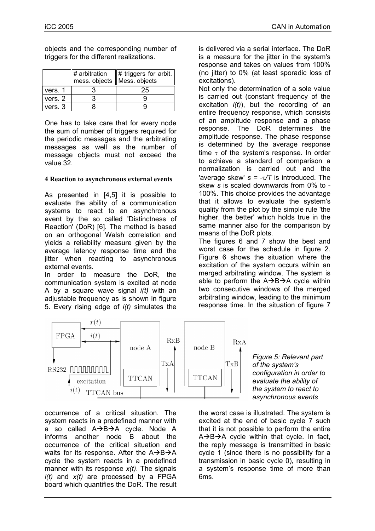objects and the corresponding number of triggers for the different realizations.

|         | $\sharp$ arbitration<br>mess. objects    Mess. objects | $\ \#$ triggers for arbit. |
|---------|--------------------------------------------------------|----------------------------|
| vers. 1 |                                                        | 25                         |
| vers. 2 |                                                        |                            |
| vers. 3 |                                                        |                            |

One has to take care that for every node the sum of number of triggers required for the periodic messages and the arbitrating messages as well as the number of message objects must not exceed the value 32.

### **4 Reaction to asynchronous external events**

As presented in [4,5] it is possible to evaluate the ability of a communication systems to react to an asynchronous event by the so called 'Distinctness of Reaction' (DoR) [6]. The method is based on an orthogonal Walsh correlation and yields a reliability measure given by the average latency response time and the jitter when reacting to asynchronous external events.

In order to measure the DoR, the communication system is excited at node A by a square wave signal *i(t)* with an adjustable frequency as is shown in figure 5. Every rising edge of *i(t)* simulates the

is delivered via a serial interface. The DoR is a measure for the jitter in the system's response and takes on values from 100% (no jitter) to 0% (at least sporadic loss of excitations).

Not only the determination of a sole value is carried out (constant frequency of the excitation *i(t)*), but the recording of an entire frequency response, which consists of an amplitude response and a phase response. The DoR determines the amplitude response. The phase response is determined by the average response time  $\tau$  of the system's response. In order to achieve a standard of comparison a normalization is carried out and the 'average skew' *s = -*τ*/T* is introduced. The skew *s* is scaled downwards from 0% to - 100%. This choice provides the advantage that it allows to evaluate the system's quality from the plot by the simple rule 'the higher, the better' which holds true in the same manner also for the comparison by means of the DoR plots.

The figures 6 and 7 show the best and worst case for the schedule in figure 2. Figure 6 shows the situation where the excitation of the system occurs within an merged arbitrating window. The system is able to perform the  $A\rightarrow B\rightarrow A$  cycle within two consecutive windows of the merged arbitrating window, leading to the minimum response time. In the situation of figure 7



occurrence of a critical situation. The system reacts in a predefined manner with a so called  $A\rightarrow B\rightarrow A$  cycle. Node A informs another node B about the occurrence of the critical situation and waits for its response. After the  $A\rightarrow B\rightarrow A$ cycle the system reacts in a predefined manner with its response *x(t)*. The signals *i(t)* and *x(t)* are processed by a FPGA board which quantifies the DoR. The result *Figure 5: Relevant part of the system's configuration in order to evaluate the ability of the system to react to asynchronous events* 

the worst case is illustrated. The system is excited at the end of basic cycle 7 such that it is not possible to perform the entire  $A\rightarrow B\rightarrow A$  cycle within that cycle. In fact, the reply message is transmitted in basic cycle 1 (since there is no possibility for a transmission in basic cycle 0), resulting in a system's response time of more than 6ms.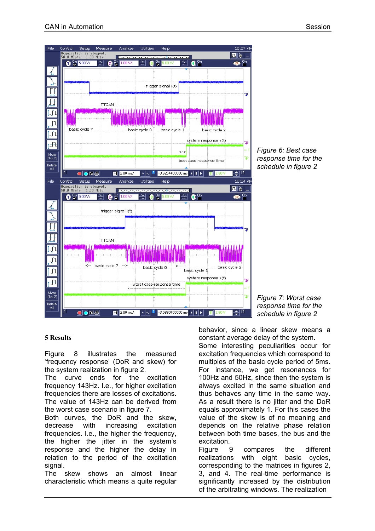

#### **5 Results**

Figure 8 illustrates the measured 'frequency response' (DoR and skew) for the system realization in figure 2.

The curve ends for the excitation frequency 143Hz. I.e., for higher excitation frequencies there are losses of excitations. The value of 143Hz can be derived from the worst case scenario in figure 7.

Both curves, the DoR and the skew, decrease with increasing excitation frequencies. I.e., the higher the frequency, the higher the jitter in the system's response and the higher the delay in relation to the period of the excitation signal.

The skew shows an almost linear characteristic which means a quite regular behavior, since a linear skew means a

constant average delay of the system. Some interesting peculiarities occur for excitation frequencies which correspond to multiples of the basic cycle period of 5ms. For instance, we get resonances for 100Hz and 50Hz, since then the system is always excited in the same situation and thus behaves any time in the same way. As a result there is no jitter and the DoR equals approximately 1. For this cases the value of the skew is of no meaning and depends on the relative phase relation between both time bases, the bus and the excitation.

Figure 9 compares the different realizations with eight basic cycles, corresponding to the matrices in figures 2, 3, and 4. The real-time performance is significantly increased by the distribution of the arbitrating windows. The realization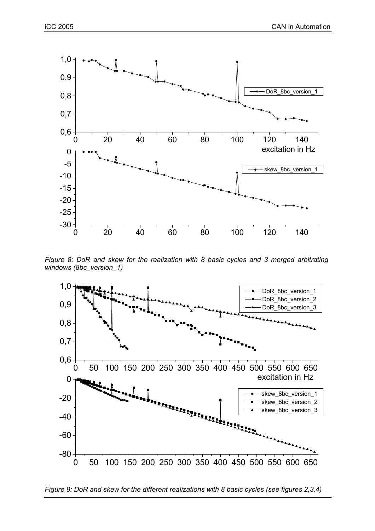

*Figure 8: DoR and skew for the realization with 8 basic cycles and 3 merged arbitrating windows (8bc\_version\_1)* 



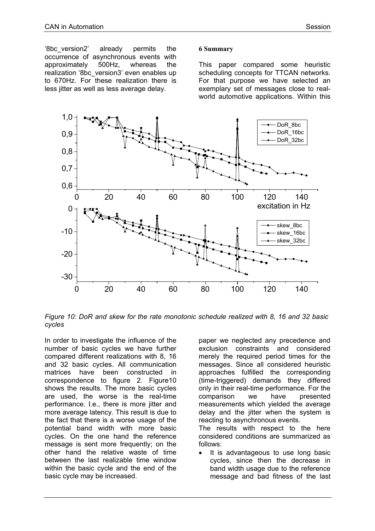'8bc\_version2' already permits the occurrence of asynchronous events with approximately 500Hz, whereas the realization '8bc\_version3' even enables up to 670Hz. For these realization there is less jitter as well as less average delay.

#### **6 Summary**

This paper compared some heuristic scheduling concepts for TTCAN networks. For that purpose we have selected an exemplary set of messages close to realworld automotive applications. Within this



*Figure 10: DoR and skew for the rate monotonic schedule realized with 8, 16 and 32 basic cycles*

In order to investigate the influence of the number of basic cycles we have further compared different realizations with 8, 16 and 32 basic cycles. All communication matrices have been constructed in correspondence to figure 2. Figure10 shows the results. The more basic cycles are used, the worse is the real-time performance. I.e., there is more jitter and more average latency. This result is due to the fact that there is a worse usage of the potential band width with more basic cycles. On the one hand the reference message is sent more frequently; on the other hand the relative waste of time between the last realizable time window within the basic cycle and the end of the basic cycle may be increased.

paper we neglected any precedence and exclusion constraints and considered merely the required period times for the messages. Since all considered heuristic approaches fulfilled the corresponding (time-triggered) demands they differed only in their real-time performance. For the comparison we have presented measurements which yielded the average delay and the jitter when the system is reacting to asynchronous events.

The results with respect to the here considered conditions are summarized as follows:

It is advantageous to use long basic cycles, since then the decrease in band width usage due to the reference message and bad fitness of the last